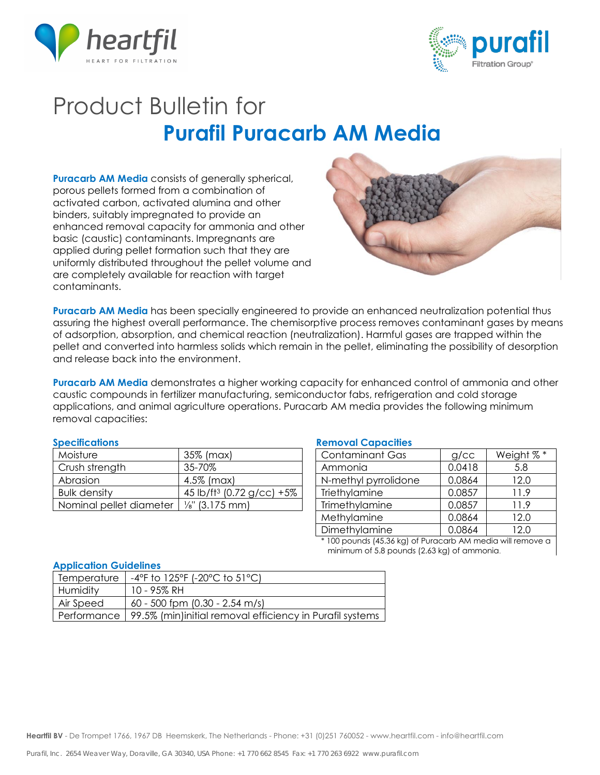



# Product Bulletin for **Purafil Puracarb AM Media**

**Puracarb AM Media** consists of generally spherical, porous pellets formed from a combination of activated carbon, activated alumina and other binders, suitably impregnated to provide an enhanced removal capacity for ammonia and other basic (caustic) contaminants. Impregnants are applied during pellet formation such that they are uniformly distributed throughout the pellet volume and are completely available for reaction with target contaminants.



**Puracarb AM Media** has been specially engineered to provide an enhanced neutralization potential thus assuring the highest overall performance. The chemisorptive process removes contaminant gases by means of adsorption, absorption, and chemical reaction (neutralization). Harmful gases are trapped within the pellet and converted into harmless solids which remain in the pellet, eliminating the possibility of desorption and release back into the environment.

**Puracarb AM Media** demonstrates a higher working capacity for enhanced control of ammonia and other caustic compounds in fertilizer manufacturing, semiconductor fabs, refrigeration and cold storage applications, and animal agriculture operations. Puracarb AM media provides the following minimum removal capacities:

| Moisture                | 35% (max)                             |
|-------------------------|---------------------------------------|
| Crush strength          | 35-70%                                |
| Abrasion                | 4.5% (max)                            |
| <b>Bulk density</b>     | 45 lb/ft <sup>3</sup> (0.72 g/cc) +5% |
| Nominal pellet diameter | $\frac{1}{8}$ " (3.175 mm)            |

### **Specifications Removal Capacities**

| <b>Contaminant Gas</b> | g/cc   | Weight %* |
|------------------------|--------|-----------|
| Ammonia                | 0.0418 | 5.8       |
| N-methyl pyrrolidone   | 0.0864 | 12.0      |
| Triethylamine          | 0.0857 | 11.9      |
| Trimethylamine         | 0.0857 | 11.9      |
| Methylamine            | 0.0864 | 12.0      |
| Dimethylamine          | 0.0864 | 12.0      |
|                        |        |           |

\* 100 pounds (45.36 kg) of Puracarb AM media will remove a minimum of 5.8 pounds (2.63 kg) of ammonia.

### **Application Guidelines**

| <b>Temperature</b> | $-4^{\circ}$ F to 125 $^{\circ}$ F (-20 $^{\circ}$ C to 51 $^{\circ}$ C) |
|--------------------|--------------------------------------------------------------------------|
| Humidity           | 10 - 95% RH                                                              |
| Air Speed          | 60 - 500 fpm (0.30 - 2.54 m/s)                                           |
|                    | Performance   99.5% (min)initial removal efficiency in Purafil systems   |